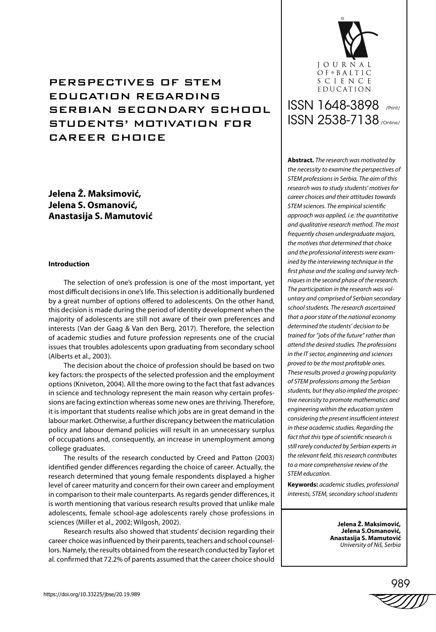## **Jelena Ž. Maksimović, Jelena S. Osmanović, Anastasija S. Mamutović**

## **Introduction**

The selection of one's profession is one of the most important, yet most difficult decisions in one's life. This selection is additionally burdened by a great number of options offered to adolescents. On the other hand, this decision is made during the period of identity development when the majority of adolescents are still not aware of their own preferences and interests (Van der Gaag & Van den Berg, 2017). Therefore, the selection of academic studies and future profession represents one of the crucial issues that troubles adolescents upon graduating from secondary school (Alberts et al., 2003).

The decision about the choice of profession should be based on two key factors: the prospects of the selected profession and the employment options (Kniveton, 2004). All the more owing to the fact that fast advances in science and technology represent the main reason why certain professions are facing extinction whereas some new ones are thriving. Therefore, it is important that students realise which jobs are in great demand in the labour market. Otherwise, a further discrepancy between the matriculation policy and labour demand policies will result in an unnecessary surplus of occupations and, consequently, an increase in unemployment among college graduates.

The results of the research conducted by Creed and Patton (2003) identified gender differences regarding the choice of career. Actually, the research determined that young female respondents displayed a higher level of career maturity and concern for their own career and employment in comparison to their male counterparts. As regards gender differences, it is worth mentioning that various research results proved that unlike male adolescents, female school-age adolescents rarely chose professions in sciences (Miller et al., 2002; Wilgosh, 2002).

Research results also showed that students' decision regarding their career choice was influenced by their parents, teachers and school counsellors. Namely, the results obtained from the research conducted by Taylor et al. confirmed that 72.2% of parents assumed that the career choice should



# ISSN 1648-3898 /Print/ ISSN 2538-7138 /Online/

**Abstract.** *The research was motivated by the necessity to examine the perspectives of STEM professions in Serbia. The aim of this research was to study students' motives for career choices and their attitudes towards STEM sciences. The empirical scientific approach was applied, i.e. the quantitative and qualitative research method. The most frequently chosen undergraduate majors, the motives that determined that choice and the professional interests were examined by the interviewing technique in the first phase and the scaling and survey techniques in the second phase of the research. The participation in the research was voluntary and comprised of Serbian secondary school students. The research ascertained that a poor state of the national economy determined the students' decision to be trained for "jobs of the future" rather than attend the desired studies. The professions in the IT sector, engineering and sciences proved to be the most profitable ones. These results proved a growing popularity of STEM professions among the Serbian students, but they also implied the prospective necessity to promote mathematics and engineering within the education system considering the present insufficient interest in these academic studies. Regarding the fact that this type of scientific research is still rarely conducted by Serbian experts in the relevant field, this research contributes to a more comprehensive review of the STEM education.*

**Keywords:** *academic studies, professional interests, STEM, secondary school students* 

> **Jelena Ž. Maksimović, Jelena S.Osmanović, Anastasija S. Mamutović** *University of Niš, Serbia*

989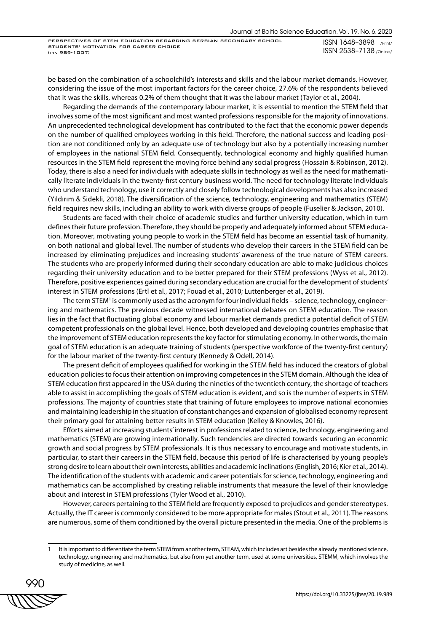ISSN 1648–3898 /Print/ ISSN 2538–7138 /Online/

be based on the combination of a schoolchild's interests and skills and the labour market demands. However, considering the issue of the most important factors for the career choice, 27.6% of the respondents believed that it was the skills, whereas 0.2% of them thought that it was the labour market (Taylor et al., 2004).

Regarding the demands of the contemporary labour market, it is essential to mention the STEM field that involves some of the most significant and most wanted professions responsible for the majority of innovations. An unprecedented technological development has contributed to the fact that the economic power depends on the number of qualified employees working in this field. Therefore, the national success and leading position are not conditioned only by an adequate use of technology but also by a potentially increasing number of employees in the national STEM field. Consequently, technological economy and highly qualified human resources in the STEM field represent the moving force behind any social progress (Hossain & Robinson, 2012). Today, there is also a need for individuals with adequate skills in technology as well as the need for mathematically literate individuals in the twenty-first century business world. The need for technology literate individuals who understand technology, use it correctly and closely follow technological developments has also increased (Yıldırım & Sidekli, 2018). The diversification of the science, technology, engineering and mathematics (STEM) field requires new skills, including an ability to work with diverse groups of people (Fuselier & Jackson, 2010).

Students are faced with their choice of academic studies and further university education, which in turn defines their future profession. Therefore, they should be properly and adequately informed about STEM education. Moreover, motivating young people to work in the STEM field has become an essential task of humanity, on both national and global level. The number of students who develop their careers in the STEM field can be increased by eliminating prejudices and increasing students' awareness of the true nature of STEM careers. The students who are properly informed during their secondary education are able to make judicious choices regarding their university education and to be better prepared for their STEM professions (Wyss et al., 2012). Therefore, positive experiences gained during secondary education are crucial for the development of students' interest in STEM professions (Ertl et al., 2017; Fouad et al., 2010; Luttenberger et al., 2019).

The term STEM' is commonly used as the acronym for four individual fields – science, technology, engineering and mathematics. The previous decade witnessed international debates on STEM education. The reason lies in the fact that fluctuating global economy and labour market demands predict a potential deficit of STEM competent professionals on the global level. Hence, both developed and developing countries emphasise that the improvement of STEM education represents the key factor for stimulating economy. In other words, the main goal of STEM education is an adequate training of students (perspective workforce of the twenty-first century) for the labour market of the twenty-first century (Kennedy & Odell, 2014).

The present deficit of employees qualified for working in the STEM field has induced the creators of global education policies to focus their attention on improving competences in the STEM domain. Although the idea of STEM education first appeared in the USA during the nineties of the twentieth century, the shortage of teachers able to assist in accomplishing the goals of STEM education is evident, and so is the number of experts in STEM professions. The majority of countries state that training of future employees to improve national economies and maintaining leadership in the situation of constant changes and expansion of globalised economy represent their primary goal for attaining better results in STEM education (Kelley & Knowles, 2016).

Efforts aimed at increasing students' interest in professions related to science, technology, engineering and mathematics (STEM) are growing internationally. Such tendencies are directed towards securing an economic growth and social progress by STEM professionals. It is thus necessary to encourage and motivate students, in particular, to start their careers in the STEM field, because this period of life is characterised by young people's strong desire to learn about their own interests, abilities and academic inclinations (English, 2016; Kier et al., 2014). The identification of the students with academic and career potentials for science, technology, engineering and mathematics can be accomplished by creating reliable instruments that measure the level of their knowledge about and interest in STEM professions (Tyler Wood et al., 2010).

However, careers pertaining to the STEM field are frequently exposed to prejudices and gender stereotypes. Actually, the IT career is commonly considered to be more appropriate for males (Stout et al., 2011). The reasons are numerous, some of them conditioned by the overall picture presented in the media. One of the problems is

990

It is important to differentiate the term STEM from another term, STEAM, which includes art besides the already mentioned science, technology, engineering and mathematics, but also from yet another term, used at some universities, STEMM, which involves the study of medicine, as well.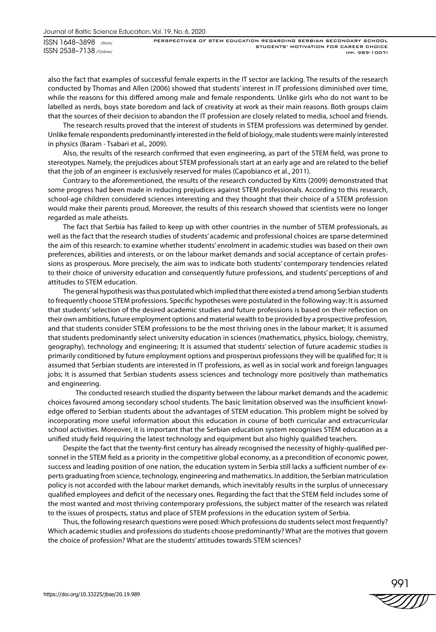also the fact that examples of successful female experts in the IT sector are lacking. The results of the research conducted by Thomas and Allen (2006) showed that students' interest in IT professions diminished over time, while the reasons for this differed among male and female respondents. Unlike girls who do not want to be labelled as nerds, boys state boredom and lack of creativity at work as their main reasons. Both groups claim that the sources of their decision to abandon the IT profession are closely related to media, school and friends.

The research results proved that the interest of students in STEM professions was determined by gender. Unlike female respondents predominantly interested in the field of biology, male students were mainly interested in physics (Baram - Tsabari et al., 2009).

Also, the results of the research confirmed that even engineering, as part of the STEM field, was prone to stereotypes. Namely, the prejudices about STEM professionals start at an early age and are related to the belief that the job of an engineer is exclusively reserved for males (Capobianco et al., 2011).

Contrary to the aforementioned, the results of the research conducted by Kitts (2009) demonstrated that some progress had been made in reducing prejudices against STEM professionals. According to this research, school-age children considered sciences interesting and they thought that their choice of a STEM profession would make their parents proud. Moreover, the results of this research showed that scientists were no longer regarded as male atheists.

The fact that Serbia has failed to keep up with other countries in the number of STEM professionals, as well as the fact that the research studies of students' academic and professional choices are sparse determined the aim of this research: to examine whether students' enrolment in academic studies was based on their own preferences, abilities and interests, or on the labour market demands and social acceptance of certain professions as prosperous. More precisely, the aim was to indicate both students' contemporary tendencies related to their choice of university education and consequently future professions, and students' perceptions of and attitudes to STEM education.

The general hypothesis was thus postulated which implied that there existed a trend among Serbian students to frequently choose STEM professions. Specific hypotheses were postulated in the following way: It is assumed that students' selection of the desired academic studies and future professions is based on their reflection on their own ambitions, future employment options and material wealth to be provided by a prospective profession, and that students consider STEM professions to be the most thriving ones in the labour market; It is assumed that students predominantly select university education in sciences (mathematics, physics, biology, chemistry, geography), technology and engineering; It is assumed that students' selection of future academic studies is primarily conditioned by future employment options and prosperous professions they will be qualified for; It is assumed that Serbian students are interested in IT professions, as well as in social work and foreign languages jobs; It is assumed that Serbian students assess sciences and technology more positively than mathematics and engineering.

The conducted research studied the disparity between the labour market demands and the academic choices favoured among secondary school students. The basic limitation observed was the insufficient knowledge offered to Serbian students about the advantages of STEM education. This problem might be solved by incorporating more useful information about this education in course of both curricular and extracurricular school activities. Moreover, it is important that the Serbian education system recognises STEM education as a unified study field requiring the latest technology and equipment but also highly qualified teachers.

Despite the fact that the twenty-first century has already recognised the necessity of highly-qualified personnel in the STEM field as a priority in the competitive global economy, as a precondition of economic power, success and leading position of one nation, the education system in Serbia still lacks a sufficient number of experts graduating from science, technology, engineering and mathematics. In addition, the Serbian matriculation policy is not accorded with the labour market demands, which inevitably results in the surplus of unnecessary qualified employees and deficit of the necessary ones. Regarding the fact that the STEM field includes some of the most wanted and most thriving contemporary professions, the subject matter of the research was related to the issues of prospects, status and place of STEM professions in the education system of Serbia.

Thus, the following research questions were posed: Which professions do students select most frequently? Which academic studies and professions do students choose predominantly? What are the motives that govern the choice of profession? What are the students' attitudes towards STEM sciences?

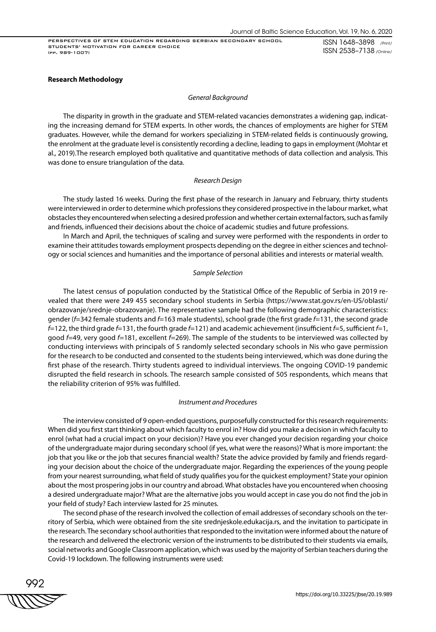ISSN 1648–3898 /Print/ ISSN 2538–7138 /Online/

## **Research Methodology**

#### *General Background*

The disparity in growth in the graduate and STEM-related vacancies demonstrates a widening gap, indicating the increasing demand for STEM experts. In other words, the chances of employments are higher for STEM graduates. However, while the demand for workers specializing in STEM-related fields is continuously growing, the enrolment at the graduate level is consistently recording a decline, leading to gaps in employment (Mohtar et al., 2019).The research employed both qualitative and quantitative methods of data collection and analysis. This was done to ensure triangulation of the data.

## *Research Design*

The study lasted 16 weeks. During the first phase of the research in January and February, thirty students were interviewed in order to determine which professions they considered prospective in the labour market, what obstacles they encountered when selecting a desired profession and whether certain external factors, such as family and friends, influenced their decisions about the choice of academic studies and future professions.

In March and April, the techniques of scaling and survey were performed with the respondents in order to examine their attitudes towards employment prospects depending on the degree in either sciences and technology or social sciences and humanities and the importance of personal abilities and interests or material wealth.

#### *Sample Selection*

The latest census of population conducted by the Statistical Office of the Republic of Serbia in 2019 revealed that there were 249 455 secondary school students in Serbia (https://www.stat.gov.rs/en-US/oblasti/ obrazovanje/srednje-obrazovanje). The representative sample had the following demographic characteristics: gender (*f*=342 female students and *f*=163 male students), school grade (the first grade *f*=131, the second grade *f*=122, the third grade *f*=131, the fourth grade *f*=121) and academic achievement (insufficient *f*=5, sufficient *f*=1, good *f*=49, very good *f*=181, excellent *f*=269). The sample of the students to be interviewed was collected by conducting interviews with principals of 5 randomly selected secondary schools in Nis who gave permission for the research to be conducted and consented to the students being interviewed, which was done during the first phase of the research. Thirty students agreed to individual interviews. The ongoing COVID-19 pandemic disrupted the field research in schools. The research sample consisted of 505 respondents, which means that the reliability criterion of 95% was fulfilled.

#### *Instrument and Procedures*

The interview consisted of 9 open-ended questions, purposefully constructed for this research requirements: When did you first start thinking about which faculty to enrol in? How did you make a decision in which faculty to enrol (what had a crucial impact on your decision)? Have you ever changed your decision regarding your choice of the undergraduate major during secondary school (if yes, what were the reasons)? What is more important: the job that you like or the job that secures financial wealth? State the advice provided by family and friends regarding your decision about the choice of the undergraduate major. Regarding the experiences of the young people from your nearest surrounding, what field of study qualifies you for the quickest employment? State your opinion about the most prospering jobs in our country and abroad. What obstacles have you encountered when choosing a desired undergraduate major? What are the alternative jobs you would accept in case you do not find the job in your field of study? Each interview lasted for 25 minutes.

The second phase of the research involved the collection of email addresses of secondary schools on the territory of Serbia, which were obtained from the site srednjeskole.edukacija.rs, and the invitation to participate in the research. The secondary school authorities that responded to the invitation were informed about the nature of the research and delivered the electronic version of the instruments to be distributed to their students via emails, social networks and Google Classroom application, which was used by the majority of Serbian teachers during the Covid-19 lockdown. The following instruments were used:

992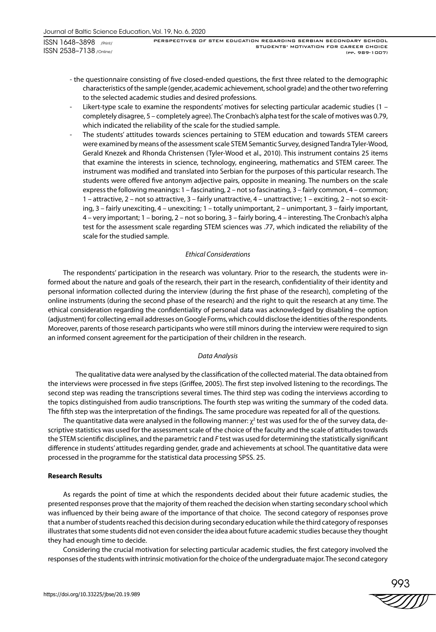PERSPECTIVES OF STEM EDUCATION REGARDING SERBIAN SECONDARY SCHOOL STUDENTS' MOTIVATION FOR CAREER CHOICE (pp. 989-1007)

- the questionnaire consisting of five closed-ended questions, the first three related to the demographic characteristics of the sample (gender, academic achievement, school grade) and the other two referring to the selected academic studies and desired professions.
- Likert-type scale to examine the respondents' motives for selecting particular academic studies  $(1$ completely disagree, 5 – completely agree). The Cronbach's alpha test for the scale of motives was 0.79, which indicated the reliability of the scale for the studied sample.
- The students' attitudes towards sciences pertaining to STEM education and towards STEM careers were examined by means of the assessment scale STEM Semantic Survey, designed Tandra Tyler-Wood, Gerald Knezek and Rhonda Christensen (Tyler-Wood et al., 2010). This instrument contains 25 items that examine the interests in science, technology, engineering, mathematics and STEM career. The instrument was modified and translated into Serbian for the purposes of this particular research. The students were offered five antonym adjective pairs, opposite in meaning. The numbers on the scale express the following meanings: 1 – fascinating, 2 – not so fascinating, 3 – fairly common, 4 – common; 1 – attractive, 2 – not so attractive, 3 – fairly unattractive, 4 – unattractive; 1 – exciting, 2 – not so exciting, 3 – fairly unexciting, 4 – unexciting; 1 – totally unimportant, 2 – unimportant, 3 – fairly important, 4 – very important; 1 – boring, 2 – not so boring, 3 – fairly boring, 4 – interesting. The Cronbach's alpha test for the assessment scale regarding STEM sciences was .77, which indicated the reliability of the scale for the studied sample.

## *Ethical Considerations*

The respondents' participation in the research was voluntary. Prior to the research, the students were informed about the nature and goals of the research, their part in the research, confidentiality of their identity and personal information collected during the interview (during the first phase of the research), completing of the online instruments (during the second phase of the research) and the right to quit the research at any time. The ethical consideration regarding the confidentiality of personal data was acknowledged by disabling the option (adjustment) for collecting email addresses on Google Forms, which could disclose the identities of the respondents. Moreover, parents of those research participants who were still minors during the interview were required to sign an informed consent agreement for the participation of their children in the research.

## *Data Analysis*

The qualitative data were analysed by the classification of the collected material. The data obtained from the interviews were processed in five steps (Griffee, 2005). The first step involved listening to the recordings. The second step was reading the transcriptions several times. The third step was coding the interviews according to the topics distinguished from audio transcriptions. The fourth step was writing the summary of the coded data. The fifth step was the interpretation of the findings. The same procedure was repeated for all of the questions.

The quantitative data were analysed in the following manner:  $\chi^2$  test was used for the of the survey data, descriptive statistics was used for the assessment scale of the choice of the faculty and the scale of attitudes towards the STEM scientific disciplines, and the parametric *t* and *F* test was used for determining the statistically significant difference in students' attitudes regarding gender, grade and achievements at school. The quantitative data were processed in the programme for the statistical data processing SPSS. 25.

## **Research Results**

As regards the point of time at which the respondents decided about their future academic studies, the presented responses prove that the majority of them reached the decision when starting secondary school which was influenced by their being aware of the importance of that choice. The second category of responses prove that a number of students reached this decision during secondary education while the third category of responses illustrates that some students did not even consider the idea about future academic studies because they thought they had enough time to decide.

Considering the crucial motivation for selecting particular academic studies, the first category involved the responses of the students with intrinsic motivation for the choice of the undergraduate major. The second category

993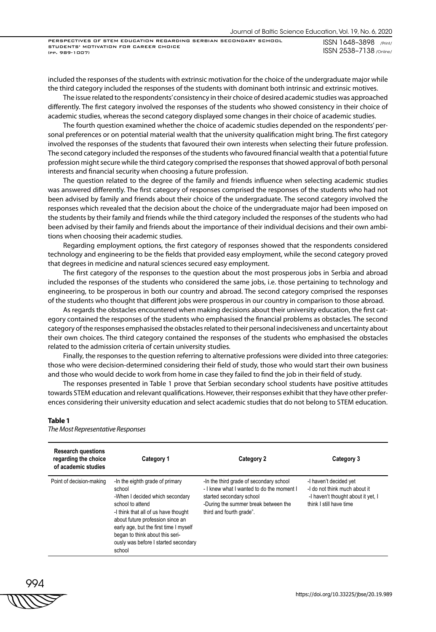ISSN 1648–3898 /Print/ ISSN 2538–7138 /Online/

included the responses of the students with extrinsic motivation for the choice of the undergraduate major while the third category included the responses of the students with dominant both intrinsic and extrinsic motives.

The issue related to the respondents' consistency in their choice of desired academic studies was approached differently. The first category involved the responses of the students who showed consistency in their choice of academic studies, whereas the second category displayed some changes in their choice of academic studies.

The fourth question examined whether the choice of academic studies depended on the respondents' personal preferences or on potential material wealth that the university qualification might bring. The first category involved the responses of the students that favoured their own interests when selecting their future profession. The second category included the responses of the students who favoured financial wealth that a potential future profession might secure while the third category comprised the responses that showed approval of both personal interests and financial security when choosing a future profession.

The question related to the degree of the family and friends influence when selecting academic studies was answered differently. The first category of responses comprised the responses of the students who had not been advised by family and friends about their choice of the undergraduate. The second category involved the responses which revealed that the decision about the choice of the undergraduate major had been imposed on the students by their family and friends while the third category included the responses of the students who had been advised by their family and friends about the importance of their individual decisions and their own ambitions when choosing their academic studies.

Regarding employment options, the first category of responses showed that the respondents considered technology and engineering to be the fields that provided easy employment, while the second category proved that degrees in medicine and natural sciences secured easy employment.

The first category of the responses to the question about the most prosperous jobs in Serbia and abroad included the responses of the students who considered the same jobs, i.e. those pertaining to technology and engineering, to be prosperous in both our country and abroad. The second category comprised the responses of the students who thought that different jobs were prosperous in our country in comparison to those abroad.

As regards the obstacles encountered when making decisions about their university education, the first category contained the responses of the students who emphasised the financial problems as obstacles. The second category of the responses emphasised the obstacles related to their personal indecisiveness and uncertainty about their own choices. The third category contained the responses of the students who emphasised the obstacles related to the admission criteria of certain university studies.

Finally, the responses to the question referring to alternative professions were divided into three categories: those who were decision-determined considering their field of study, those who would start their own business and those who would decide to work from home in case they failed to find the job in their field of study.

The responses presented in Table 1 prove that Serbian secondary school students have positive attitudes towards STEM education and relevant qualifications. However, their responses exhibit that they have other preferences considering their university education and select academic studies that do not belong to STEM education.

| <b>Research questions</b><br>regarding the choice<br>of academic studies | Category 1                                                                                                                                                                                                                                                                                                  | Category 2                                                                                                                                                                           | Category 3                                                                                                               |
|--------------------------------------------------------------------------|-------------------------------------------------------------------------------------------------------------------------------------------------------------------------------------------------------------------------------------------------------------------------------------------------------------|--------------------------------------------------------------------------------------------------------------------------------------------------------------------------------------|--------------------------------------------------------------------------------------------------------------------------|
| Point of decision-making                                                 | -In the eighth grade of primary<br>school<br>-When I decided which secondary<br>school to attend<br>-I think that all of us have thought<br>about future profession since an<br>early age, but the first time I myself<br>began to think about this seri-<br>ously was before I started secondary<br>school | -In the third grade of secondary school<br>- I knew what I wanted to do the moment I<br>started secondary school<br>-During the summer break between the<br>third and fourth grade". | -I haven't decided yet<br>-I do not think much about it<br>-I haven't thought about it yet. I<br>think I still have time |

## **Table 1**

*The Most Representative Responses*

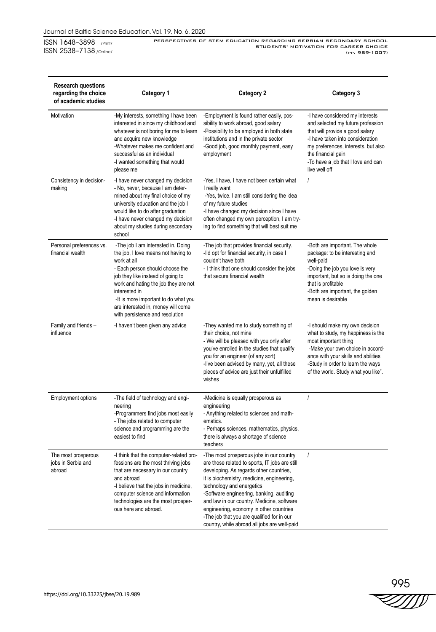Journal of Baltic Science Education, Vol. 19, No. 6, 2020

ISSN 1648–3898 /Print/ ISSN 2538–7138 /Online/

PERSPECTIVES OF STEM EDUCATION REGARDING SERBIAN SECONDARY SCHOOL STUDENTS' MOTIVATION FOR CAREER CHOICE (pp. 989-1007)

| <b>Research questions</b><br>regarding the choice<br>of academic studies | Category 1                                                                                                                                                                                                                                                                                                                                 | <b>Category 2</b>                                                                                                                                                                                                                                                                                                                                                                                                                                   | Category 3                                                                                                                                                                                                                                                      |
|--------------------------------------------------------------------------|--------------------------------------------------------------------------------------------------------------------------------------------------------------------------------------------------------------------------------------------------------------------------------------------------------------------------------------------|-----------------------------------------------------------------------------------------------------------------------------------------------------------------------------------------------------------------------------------------------------------------------------------------------------------------------------------------------------------------------------------------------------------------------------------------------------|-----------------------------------------------------------------------------------------------------------------------------------------------------------------------------------------------------------------------------------------------------------------|
| Motivation                                                               | -My interests, something I have been<br>interested in since my childhood and<br>whatever is not boring for me to learn<br>and acquire new knowledge<br>-Whatever makes me confident and<br>successful as an individual<br>-I wanted something that would<br>please me                                                                      | -Employment is found rather easily, pos-<br>sibility to work abroad, good salary<br>-Possibility to be employed in both state<br>institutions and in the private sector<br>-Good job, good monthly payment, easy<br>employment                                                                                                                                                                                                                      | -I have considered my interests<br>and selected my future profession<br>that will provide a good salary<br>-I have taken into consideration<br>my preferences, interests, but also<br>the financial gain<br>-To have a job that I love and can<br>live well off |
| Consistency in decision-<br>making                                       | -I have never changed my decision<br>- No, never, because I am deter-<br>mined about my final choice of my<br>university education and the job I<br>would like to do after graduation<br>-I have never changed my decision<br>about my studies during secondary<br>school                                                                  | -Yes, I have, I have not been certain what<br>I really want<br>-Yes, twice. I am still considering the idea<br>of my future studies<br>-I have changed my decision since I have<br>often changed my own perception, I am try-<br>ing to find something that will best suit me                                                                                                                                                                       | $\prime$                                                                                                                                                                                                                                                        |
| Personal preferences vs.<br>financial wealth                             | -The job I am interested in. Doing<br>the job, I love means not having to<br>work at all<br>- Each person should choose the<br>job they like instead of going to<br>work and hating the job they are not<br>interested in<br>-It is more important to do what you<br>are interested in, money will come<br>with persistence and resolution | -The job that provides financial security.<br>-I'd opt for financial security, in case I<br>couldn't have both<br>- I think that one should consider the jobs<br>that secure financial wealth                                                                                                                                                                                                                                                       | -Both are important. The whole<br>package: to be interesting and<br>well-paid<br>-Doing the job you love is very<br>important, but so is doing the one<br>that is profitable<br>-Both are important, the golden<br>mean is desirable                            |
| Family and friends -<br>influence                                        | -I haven't been given any advice                                                                                                                                                                                                                                                                                                           | -They wanted me to study something of<br>their choice, not mine<br>- We will be pleased with you only after<br>you've enrolled in the studies that qualify<br>you for an engineer (of any sort)<br>-I've been advised by many, yet, all these<br>pieces of advice are just their unfulfilled<br>wishes                                                                                                                                              | -I should make my own decision<br>what to study, my happiness is the<br>most important thing<br>-Make your own choice in accord-<br>ance with your skills and abilities<br>-Study in order to learn the ways<br>of the world. Study what you like".             |
| <b>Employment options</b>                                                | -The field of technology and engi-<br>neering<br>-Programmers find jobs most easily<br>- The jobs related to computer<br>science and programming are the<br>easiest to find                                                                                                                                                                | -Medicine is equally prosperous as<br>engineering<br>- Anything related to sciences and math-<br>ematics.<br>- Perhaps sciences, mathematics, physics,<br>there is always a shortage of science<br>teachers                                                                                                                                                                                                                                         | $\prime$                                                                                                                                                                                                                                                        |
| The most prosperous<br>jobs in Serbia and<br>abroad                      | -I think that the computer-related pro-<br>fessions are the most thriving jobs<br>that are necessary in our country<br>and abroad<br>-I believe that the jobs in medicine,<br>computer science and information<br>technologies are the most prosper-<br>ous here and abroad.                                                               | -The most prosperous jobs in our country<br>are those related to sports, IT jobs are still<br>developing. As regards other countries,<br>it is biochemistry, medicine, engineering,<br>technology and energetics<br>-Software engineering, banking, auditing<br>and law in our country. Medicine, software<br>engineering, economy in other countries<br>-The job that you are qualified for in our<br>country, while abroad all jobs are well-paid | $\prime$                                                                                                                                                                                                                                                        |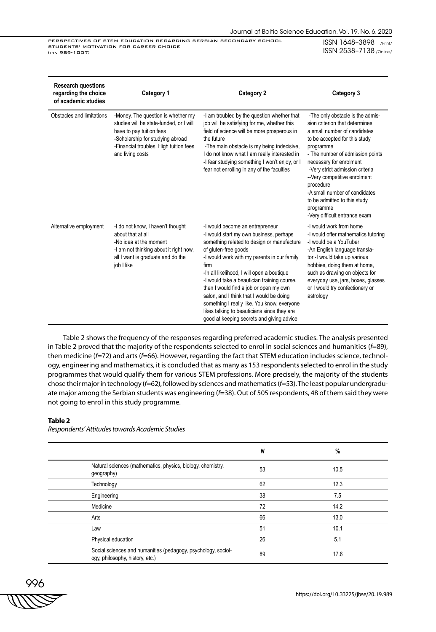ISSN 1648–3898 /Print/ ISSN 2538–7138 /Online/

| <b>Research questions</b><br>regarding the choice<br>of academic studies | Category 1                                                                                                                                                                                                  | <b>Category 2</b>                                                                                                                                                                                                                                                                                                                                                                                                                                                                                                                     |                                                                                                                                                                                                                                                                                                                                                                                                                 |
|--------------------------------------------------------------------------|-------------------------------------------------------------------------------------------------------------------------------------------------------------------------------------------------------------|---------------------------------------------------------------------------------------------------------------------------------------------------------------------------------------------------------------------------------------------------------------------------------------------------------------------------------------------------------------------------------------------------------------------------------------------------------------------------------------------------------------------------------------|-----------------------------------------------------------------------------------------------------------------------------------------------------------------------------------------------------------------------------------------------------------------------------------------------------------------------------------------------------------------------------------------------------------------|
| Obstacles and limitations                                                | -Money. The question is whether my<br>studies will be state-funded, or I will<br>have to pay tuition fees<br>-Scholarship for studying abroad<br>-Financial troubles. High tuition fees<br>and living costs | -I am troubled by the question whether that<br>job will be satisfying for me, whether this<br>field of science will be more prosperous in<br>the future<br>-The main obstacle is my being indecisive,<br>I do not know what I am really interested in<br>-I fear studying something I won't enjoy, or I<br>fear not enrolling in any of the faculties                                                                                                                                                                                 | -The only obstacle is the admis-<br>sion criterion that determines<br>a small number of candidates<br>to be accepted for this study<br>programme<br>- The number of admission points<br>necessary for enrolment<br>-Very strict admission criteria<br>-- Very competitive enrolment<br>procedure<br>-A small number of candidates<br>to be admitted to this study<br>programme<br>-Very difficult entrance exam |
| Alternative employment                                                   | -I do not know, I haven't thought<br>about that at all<br>-No idea at the moment<br>-I am not thinking about it right now,<br>all I want is graduate and do the<br>job I like                               | -I would become an entrepreneur<br>-I would start my own business, perhaps<br>something related to design or manufacture<br>of gluten-free goods<br>-I would work with my parents in our family<br>firm<br>-In all likelihood, I will open a boutique<br>-I would take a beautician training course,<br>then I would find a job or open my own<br>salon, and I think that I would be doing<br>something I really like. You know, everyone<br>likes talking to beauticians since they are<br>good at keeping secrets and giving advice | -I would work from home<br>-I would offer mathematics tutoring<br>-I would be a YouTuber<br>-An English language transla-<br>tor -I would take up various<br>hobbies, doing them at home,<br>such as drawing on objects for<br>everyday use, jars, boxes, glasses<br>or I would try confectionery or<br>astrology                                                                                               |

Table 2 shows the frequency of the responses regarding preferred academic studies. The analysis presented in Table 2 proved that the majority of the respondents selected to enrol in social sciences and humanities (*f*=89), then medicine (*f*=72) and arts (*f*=66). However, regarding the fact that STEM education includes science, technology, engineering and mathematics, it is concluded that as many as 153 respondents selected to enrol in the study programmes that would qualify them for various STEM professions. More precisely, the majority of the students chose their major in technology (*f*=62), followed by sciences and mathematics (*f*=53). The least popular undergraduate major among the Serbian students was engineering (*f*=38). Out of 505 respondents, 48 of them said they were not going to enrol in this study programme.

#### **Table 2**

|                                                                                                  | N  | %    |
|--------------------------------------------------------------------------------------------------|----|------|
| Natural sciences (mathematics, physics, biology, chemistry,<br>geography)                        | 53 | 10.5 |
| Technology                                                                                       | 62 | 12.3 |
| Engineering                                                                                      | 38 | 7.5  |
| Medicine                                                                                         | 72 | 14.2 |
| Arts                                                                                             | 66 | 13.0 |
| Law                                                                                              | 51 | 10.1 |
| Physical education                                                                               | 26 | 5.1  |
| Social sciences and humanities (pedagogy, psychology, sociol-<br>ogy, philosophy, history, etc.) | 89 | 17.6 |

*Respondents' Attitudes towards Academic Studies*

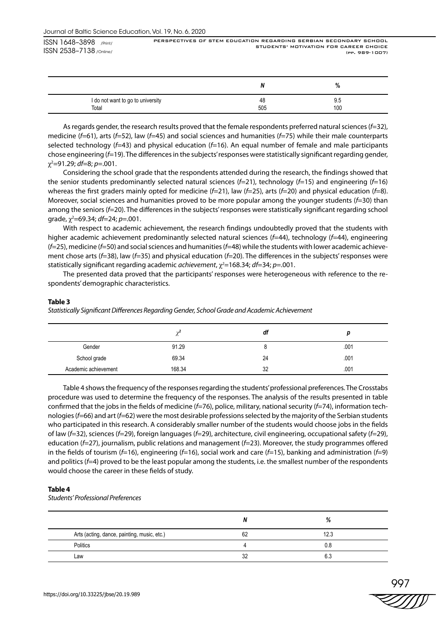PERSPECTIVES OF STEM EDUCATION REGARDING SERBIAN SECONDARY SCHOOL STUDENTS' MOTIVATION FOR CAREER CHOICE (pp. 989-1007)

|                                   |     | %   |
|-----------------------------------|-----|-----|
| I do not want to go to university | 48  | ອ.ວ |
| Total                             | 505 | 100 |

As regards gender, the research results proved that the female respondents preferred natural sciences (*f*=32), medicine (*f*=61), arts (*f*=52), law (*f*=45) and social sciences and humanities (*f*=75) while their male counterparts selected technology (*f*=43) and physical education (*f*=16). An equal number of female and male participants chose engineering (*f*=19). The differences in the subjects' responses were statistically significant regarding gender, χ2 =91.29; *df*=8; *p*=.001.

Considering the school grade that the respondents attended during the research, the findings showed that the senior students predominantly selected natural sciences (*f*=21), technology (*f*=15) and engineering (*f*=16) whereas the first graders mainly opted for medicine (*f*=21), law (*f*=25), arts (*f*=20) and physical education (*f*=8). Moreover, social sciences and humanities proved to be more popular among the younger students (*f*=30) than among the seniors (*f*=20). The differences in the subjects' responses were statistically significant regarding school grade, χ<sup>2</sup> =69.34; *df*=24; *p*=.001.

With respect to academic achievement, the research findings undoubtedly proved that the students with higher academic achievement predominantly selected natural sciences (*f*=44), technology (*f*=44), engineering (*f*=25), medicine (*f*=50) and social sciences and humanities (*f*=48) while the students with lower academic achievement chose arts (*f*=38), law (*f*=35) and physical education (*f*=20). The differences in the subjects' responses were statistically significant regarding academic *achievement*, χ*<sup>2</sup>* =168.34; *df*=34; *p*=.001.

The presented data proved that the participants' responses were heterogeneous with reference to the respondents' demographic characteristics.

## **Table 3**

*Statistically Significant Differences Regarding Gender, School Grade and Academic Achievement* 

|                      | $\sim$<br>$\sim$ | dt |      |
|----------------------|------------------|----|------|
| Gender               | 91.29            |    | .001 |
| School grade         | 69.34            | 24 | .001 |
| Academic achievement | 168.34           | 32 | .001 |

Table 4 shows the frequency of the responses regarding the students' professional preferences. The Crosstabs procedure was used to determine the frequency of the responses. The analysis of the results presented in table confirmed that the jobs in the fields of medicine (*f*=76), police, military, national security (*f*=74), information technologies (*f*=66) and art (*f*=62) were the most desirable professions selected by the majority of the Serbian students who participated in this research. A considerably smaller number of the students would choose jobs in the fields of law (*f*=32), sciences (*f*=29), foreign languages (*f*=29), architecture, civil engineering, occupational safety (*f*=29), education (*f*=27), journalism, public relations and management (*f*=23). Moreover, the study programmes offered in the fields of tourism (*f*=16), engineering (*f*=16), social work and care (*f*=15), banking and administration (*f*=9) and politics (*f*=4) proved to be the least popular among the students, i.e. the smallest number of the respondents would choose the career in these fields of study.

## **Table 4**

*Students' Professional Preferences*

|                                             |    | %      |
|---------------------------------------------|----|--------|
| Arts (acting, dance, painting, music, etc.) | 62 | 12.3   |
| Politics                                    |    | 0.8    |
| Law                                         | 32 | $\sim$ |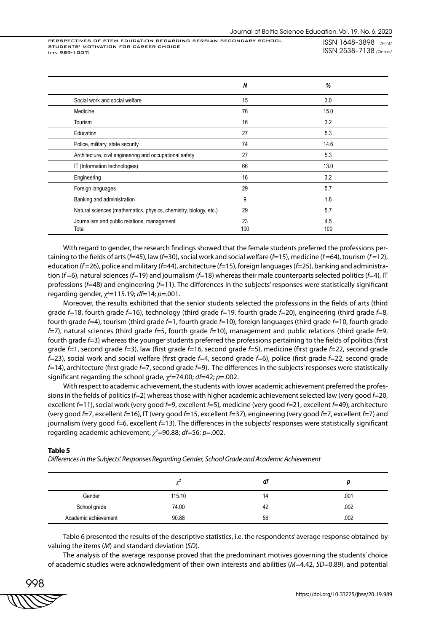|                                                                   | N         | %          |
|-------------------------------------------------------------------|-----------|------------|
| Social work and social welfare                                    | 15        | 3.0        |
| Medicine                                                          | 76        | 15.0       |
| Tourism                                                           | 16        | 3.2        |
| Education                                                         | 27        | 5.3        |
| Police, military, state security                                  | 74        | 14.6       |
| Architecture, civil engineering and occupational safety           | 27        | 5.3        |
| IT (Information technologies)                                     | 66        | 13.0       |
| Engineering                                                       | 16        | 3.2        |
| Foreign languages                                                 | 29        | 5.7        |
| Banking and administration                                        | 9         | 1.8        |
| Natural sciences (mathematics, physics, chemistry, biology, etc.) | 29        | 5.7        |
| Journalism and public relations, management<br>Total              | 23<br>100 | 4.5<br>100 |

With regard to gender, the research findings showed that the female students preferred the professions pertaining to the fields of arts (*f*=45), law (*f*=30), social work and social welfare (*f*=15), medicine (*f* =64), tourism (*f* =12), education (*f* =26), police and military (*f*=44), architecture (*f*=15), foreign languages (*f*=25), banking and administration (*f* =6), natural sciences (*f*=19) and journalism (*f*=18) whereas their male counterparts selected politics (*f*=4), IT professions (*f*=48) and engineering (*f*=11). The differences in the subjects' responses were statistically significant regarding gender, χ*<sup>2</sup>* =115.19; *df*=14; *p*=.001.

Moreover, the results exhibited that the senior students selected the professions in the fields of arts (third grade *f*=18, fourth grade *f*=16), technology (third grade *f*=19, fourth grade *f*=20), engineering (third grade *f*=8, fourth grade *f*=4), tourism (third grade *f*=1, fourth grade *f*=10), foreign languages (third grade *f*=10, fourth grade *f*=7), natural sciences (third grade *f*=5, fourth grade *f*=10), management and public relations (third grade *f*=9, fourth grade *f*=3) whereas the younger students preferred the professions pertaining to the fields of politics (first grade *f*=1, second grade *f*=3), law (first grade *f*=16, second grade *f*=5), medicine (first grade *f*=22, second grade *f*=23), social work and social welfare (first grade *f*=4, second grade *f*=6), police (first grade *f*=22, second grade *f*=14), architecture (first grade *f*=7, second grade *f*=9). The differences in the subjects' responses were statistically significant regarding the school grade, χ*<sup>2</sup>* =74.00; *df*=42; *p*=.002.

With respect to academic achievement, the students with lower academic achievement preferred the professions in the fields of politics (*f*=2) whereas those with higher academic achievement selected law (very good *f*=20, excellent *f*=11), social work (very good *f*=9, excellent *f*=5), medicine (very good *f*=21, excellent *f*=49), architecture (very good *f*=7, excellent *f*=16), IT (very good *f*=15, excellent *f*=37), engineering (very good *f*=7, excellent *f*=7) and journalism (very good *f*=6, excellent *f*=13). The differences in the subjects' responses were statistically significant regarding academic achievement, *χ<sup>2</sup>* =90.88; *df*=56; *p*=.002.

#### **Table 5**

*Differences in the Subjects' Responses Regarding Gender, School Grade and Academic Achievement*

|                      |        | df |      |
|----------------------|--------|----|------|
| Gender               | 115.10 | 14 | .001 |
| School grade         | 74.00  | 42 | .002 |
| Academic achievement | 90.88  | 56 | .002 |

Table 6 presented the results of the descriptive statistics, i.e. the respondents' average response obtained by valuing the items (*M*) and standard deviation (*SD*).

The analysis of the average response proved that the predominant motives governing the students' choice of academic studies were acknowledgment of their own interests and abilities (*M*=4.42, *SD=*0.89), and potential

$$
\begin{array}{c}\n 998 \\
\hline\n \text{WV} \\
\hline\n \end{array}
$$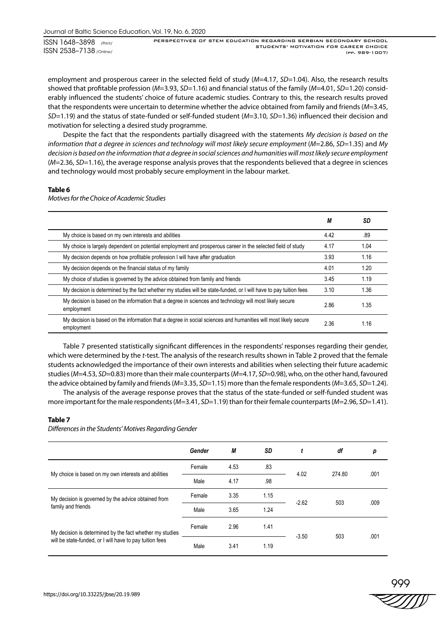PERSPECTIVES OF STEM EDUCATION REGARDING SERBIAN SECONDARY SCHOOL STUDENTS' MOTIVATION FOR CAREER CHOICE (pp. 989-1007)

employment and prosperous career in the selected field of study (*M*=4.17, *SD=*1.04). Also, the research results showed that profitable profession (*M*=3.93, *SD=*1.16) and financial status of the family (*M*=4.01, *SD=*1.20) considerably influenced the students' choice of future academic studies. Contrary to this, the research results proved that the respondents were uncertain to determine whether the advice obtained from family and friends (*M*=3.45, *SD=*1.19) and the status of state-funded or self-funded student (*M*=3.10, *SD=*1.36) influenced their decision and motivation for selecting a desired study programme.

Despite the fact that the respondents partially disagreed with the statements *My decision is based on the information that a degree in sciences and technology will most likely secure employment* (*M*=2.86, *SD=*1.35) and *My decision is based on the information that a degree in social sciences and humanities will most likely secure employment*  (*M*=2.36, *SD=*1.16), the average response analysis proves that the respondents believed that a degree in sciences and technology would most probably secure employment in the labour market.

## **Table 6**

*Motives for the Choice of Academic Studies*

|                                                                                                                               | М    | SD   |
|-------------------------------------------------------------------------------------------------------------------------------|------|------|
| My choice is based on my own interests and abilities                                                                          | 4.42 | .89  |
| My choice is largely dependent on potential employment and prosperous career in the selected field of study                   | 4.17 | 1.04 |
| My decision depends on how profitable profession I will have after graduation                                                 | 3.93 | 1.16 |
| My decision depends on the financial status of my family                                                                      | 4.01 | 1.20 |
| My choice of studies is governed by the advice obtained from family and friends                                               | 3.45 | 1.19 |
| My decision is determined by the fact whether my studies will be state-funded, or I will have to pay tuition fees             | 3.10 | 1.36 |
| My decision is based on the information that a degree in sciences and technology will most likely secure<br>employment        | 2.86 | 1.35 |
| My decision is based on the information that a degree in social sciences and humanities will most likely secure<br>employment | 2.36 | 1.16 |

Table 7 presented statistically significant differences in the respondents' responses regarding their gender, which were determined by the *t*-test. The analysis of the research results shown in Table 2 proved that the female students acknowledged the importance of their own interests and abilities when selecting their future academic studies (*M*=4.53, *SD*=0.83) more than their male counterparts (*M*=4.17, *SD*=0.98), who, on the other hand, favoured the advice obtained by family and friends (*M*=3.35, *SD*=1.15) more than the female respondents (*M*=3.65, *SD*=1.24).

The analysis of the average response proves that the status of the state-funded or self-funded student was more important for the male respondents (*M*=3.41, *SD*=1.19) than for their female counterparts (*M*=2.96, *SD*=1.41).

## **Table 7**

*Differences in the Students' Motives Regarding Gender*

|                                                                           | Gender | М    | SD   |         | df     | p    |
|---------------------------------------------------------------------------|--------|------|------|---------|--------|------|
| My choice is based on my own interests and abilities                      | Female | 4.53 | .83  | 4.02    | 274.80 | .001 |
|                                                                           | Male   | 4.17 | .98  |         |        |      |
| My decision is governed by the advice obtained from<br>family and friends | Female | 3.35 | 1.15 | $-2.62$ | 503    | .009 |
|                                                                           | Male   | 3.65 | 1.24 |         |        |      |
| My decision is determined by the fact whether my studies                  | Female | 2.96 | 1.41 | $-3.50$ | 503    | .001 |
| will be state-funded, or I will have to pay tuition fees                  | Male   | 3.41 | 1.19 |         |        |      |

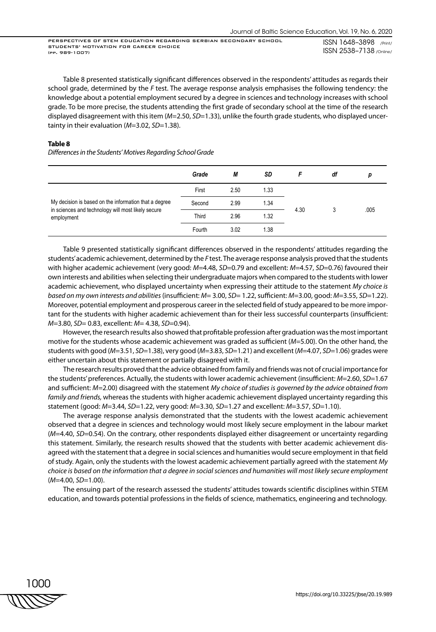Table 8 presented statistically significant differences observed in the respondents' attitudes as regards their school grade, determined by the *F* test. The average response analysis emphasises the following tendency: the knowledge about a potential employment secured by a degree in sciences and technology increases with school grade. To be more precise, the students attending the first grade of secondary school at the time of the research displayed disagreement with this item (*M*=2.50, *SD*=1.33), unlike the fourth grade students, who displayed uncertainty in their evaluation (*M*=3.02, *SD*=1.38).

## **Table 8**

*Differences in the Students' Motives Regarding School Grade*

|                                                                  | Grade  | М    | SD   |      | df |      |
|------------------------------------------------------------------|--------|------|------|------|----|------|
|                                                                  | First  | 2.50 | 1.33 | 4.30 |    |      |
| My decision is based on the information that a degree            | Second | 2.99 | 1.34 |      |    |      |
| in sciences and technology will most likely secure<br>employment | Third  | 2.96 | 1.32 |      |    | .005 |
|                                                                  | Fourth | 3.02 | 1.38 |      |    |      |

Table 9 presented statistically significant differences observed in the respondents' attitudes regarding the students' academic achievement, determined by the *F* test. The average response analysis proved that the students with higher academic achievement (very good: *M*=4.48, *SD*=0.79 and excellent: *M*=4.57, *SD*=0.76) favoured their own interests and abilities when selecting their undergraduate majors when compared to the students with lower academic achievement, who displayed uncertainty when expressing their attitude to the statement *My choice is based on my own interests and abilities* (insufficient: *M*= 3.00, *SD*= 1.22, sufficient: *M*=3.00, good: *M*=3.55, *SD*=1.22). Moreover, potential employment and prosperous career in the selected field of study appeared to be more important for the students with higher academic achievement than for their less successful counterparts (insufficient: *M*=3.80, *SD*= 0.83, excellent: *M*= 4.38, *SD*=0.94).

However, the research results also showed that profitable profession after graduation was the most important motive for the students whose academic achievement was graded as sufficient (*M*=5.00). On the other hand, the students with good (*M*=3.51, *SD*=1.38), very good (*M*=3.83, *SD*=1.21) and excellent (*M*=4.07, *SD*=1.06) grades were either uncertain about this statement or partially disagreed with it.

The research results proved that the advice obtained from family and friends was not of crucial importance for the students' preferences. Actually, the students with lower academic achievement (insufficient: *M*=2.60, *SD*=1.67 and sufficient: *M*=2.00) disagreed with the statement *My choice of studies is governed by the advice obtained from family and friends,* whereas the students with higher academic achievement displayed uncertainty regarding this statement (good: *M*=3.44, *SD*=1.22, very good: *M*=3.30, *SD*=1.27 and excellent: *M*=3.57, *SD*=1.10).

The average response analysis demonstrated that the students with the lowest academic achievement observed that a degree in sciences and technology would most likely secure employment in the labour market (*M*=4.40, *SD*=0.54). On the contrary, other respondents displayed either disagreement or uncertainty regarding this statement. Similarly, the research results showed that the students with better academic achievement disagreed with the statement that a degree in social sciences and humanities would secure employment in that field of study. Again, only the students with the lowest academic achievement partially agreed with the statement *My choice is based on the information that a degree in social sciences and humanities will most likely secure employment* (*M*=4.00, *SD*=1.00).

The ensuing part of the research assessed the students' attitudes towards scientific disciplines within STEM education, and towards potential professions in the fields of science, mathematics, engineering and technology.

1000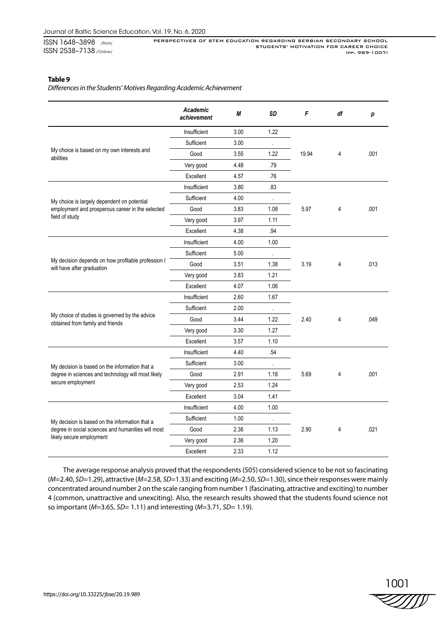PERSPECTIVES OF STEM EDUCATION REGARDING SERBIAN SECONDARY SCHOOL STUDENTS' MOTIVATION FOR CAREER CHOICE (pp. 989-1007)

## **Table 9**

*Differences in the Students' Motives Regarding Academic Achievement* 

|                                                                                                                                  | Academic<br>achievement | М    | SD      | F     | df | р    |
|----------------------------------------------------------------------------------------------------------------------------------|-------------------------|------|---------|-------|----|------|
|                                                                                                                                  | Insufficient            | 3.00 | 1.22    |       |    |      |
|                                                                                                                                  | Sufficient              | 3.00 |         |       |    |      |
| My choice is based on my own interests and<br>abilities                                                                          | Good                    | 3.55 | 1.22    | 19.94 | 4  | .001 |
|                                                                                                                                  | Very good               | 4.48 | .79     |       |    |      |
|                                                                                                                                  | Excellent               | 4.57 | .76     |       |    |      |
|                                                                                                                                  | Insufficient            | 3.80 | .83     |       |    |      |
| My choice is largely dependent on potential                                                                                      | Sufficient              | 4.00 |         |       |    |      |
| employment and prosperous career in the selected                                                                                 | Good                    | 3.83 | 1.08    | 5.97  | 4  | .001 |
| field of study                                                                                                                   | Very good               | 3.97 | 1.11    |       |    |      |
|                                                                                                                                  | Excellent               | 4.38 | .94     |       |    |      |
|                                                                                                                                  | Insufficient            | 4.00 | 1.00    |       |    |      |
|                                                                                                                                  | Sufficient              | 5.00 | $\cdot$ |       |    |      |
| My decision depends on how profitable profession I<br>will have after graduation                                                 | Good                    | 3.51 | 1.38    | 3.19  | 4  | .013 |
|                                                                                                                                  | Very good               | 3.83 | 1.21    |       |    |      |
|                                                                                                                                  | Excellent               | 4.07 | 1.06    |       |    |      |
|                                                                                                                                  | Insufficient            | 2.60 | 1.67    |       |    |      |
|                                                                                                                                  | Sufficient              | 2.00 |         |       |    |      |
| My choice of studies is governed by the advice<br>obtained from family and friends                                               | Good                    | 3.44 | 1.22    | 2.40  | 4  | .049 |
|                                                                                                                                  | Very good               | 3.30 | 1.27    |       |    |      |
|                                                                                                                                  | Excellent               | 3.57 | 1.10    |       |    |      |
|                                                                                                                                  | Insufficient            | 4.40 | .54     |       |    |      |
| My decision is based on the information that a<br>degree in sciences and technology will most likely<br>secure employment        | Sufficient              | 3.00 |         |       |    |      |
|                                                                                                                                  | Good                    | 2.91 | 1.18    | 5.69  | 4  | .001 |
|                                                                                                                                  | Very good               | 2.53 | 1.24    |       |    |      |
|                                                                                                                                  | Excellent               | 3.04 | 1.41    |       |    |      |
| My decision is based on the information that a<br>degree in social sciences and humanities will most<br>likely secure employment | Insufficient            | 4.00 | 1.00    |       |    |      |
|                                                                                                                                  | Sufficient              | 1.00 |         |       |    |      |
|                                                                                                                                  | Good                    | 2.36 | 1.13    | 2.90  | 4  | .021 |
|                                                                                                                                  | Very good               | 2.36 | 1.20    |       |    |      |
|                                                                                                                                  | Excellent               | 2.33 | 1.12    |       |    |      |

The average response analysis proved that the respondents (505) considered science to be not so fascinating (*M*=2.40, *SD*=1.29), attractive (*M*=2.58, *SD*=1.33) and exciting (*M*=2.50, *SD*=1.30), since their responses were mainly concentrated around number 2 on the scale ranging from number 1 (fascinating, attractive and exciting) to number 4 (common, unattractive and unexciting). Also, the research results showed that the students found science not so important (*M*=3.65, *SD*= 1.11) and interesting (*M*=3.71, *SD*= 1.19).

1001 ZIII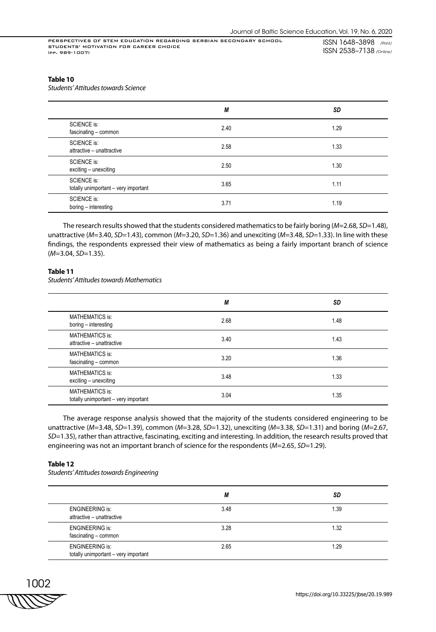## **Table 10**

*Students' Attitudes towards Science*

|                                                            | М    | <b>SD</b> |
|------------------------------------------------------------|------|-----------|
| <b>SCIENCE is:</b><br>fascinating - common                 | 2.40 | 1.29      |
| <b>SCIENCE is:</b><br>attractive - unattractive            | 2.58 | 1.33      |
| <b>SCIENCE is:</b><br>exciting - unexciting                | 2.50 | 1.30      |
| <b>SCIENCE is:</b><br>totally unimportant - very important | 3.65 | 1.11      |
| <b>SCIENCE is:</b><br>boring - interesting                 | 3.71 | 1.19      |

The research results showed that the students considered mathematics to be fairly boring (*M*=2.68, *SD*=1.48), unattractive (*M*=3.40, *SD*=1.43), common (*M*=3.20, *SD*=1.36) and unexciting (*M*=3.48, *SD*=1.33). In line with these findings, the respondents expressed their view of mathematics as being a fairly important branch of science (*M*=3.04, *SD*=1.35).

## **Table 11**

*Students' Attitudes towards Mathematics*

|                                                                | М    | SD   |
|----------------------------------------------------------------|------|------|
| <b>MATHEMATICS is:</b><br>boring - interesting                 | 2.68 | 1.48 |
| <b>MATHEMATICS is:</b><br>attractive - unattractive            | 3.40 | 1.43 |
| <b>MATHEMATICS is:</b><br>fascinating - common                 | 3.20 | 1.36 |
| <b>MATHEMATICS is:</b><br>exciting - unexciting                | 3.48 | 1.33 |
| <b>MATHEMATICS is:</b><br>totally unimportant - very important | 3.04 | 1.35 |

The average response analysis showed that the majority of the students considered engineering to be unattractive (*M*=3.48, *SD*=1.39), common (*M*=3.28, *SD*=1.32), unexciting (*M*=3.38, *SD*=1.31) and boring (*M*=2.67, *SD*=1.35), rather than attractive, fascinating, exciting and interesting. In addition, the research results proved that engineering was not an important branch of science for the respondents (*M*=2.65, *SD*=1.29).

## **Table 12**

*Students' Attitudes towards Engineering*

|                                                                | М    | SD   |
|----------------------------------------------------------------|------|------|
| <b>ENGINEERING is:</b><br>attractive - unattractive            | 3.48 | 1.39 |
| <b>ENGINEERING is:</b><br>fascinating - common                 | 3.28 | 1.32 |
| <b>ENGINEERING is:</b><br>totally unimportant - very important | 2.65 | 1.29 |

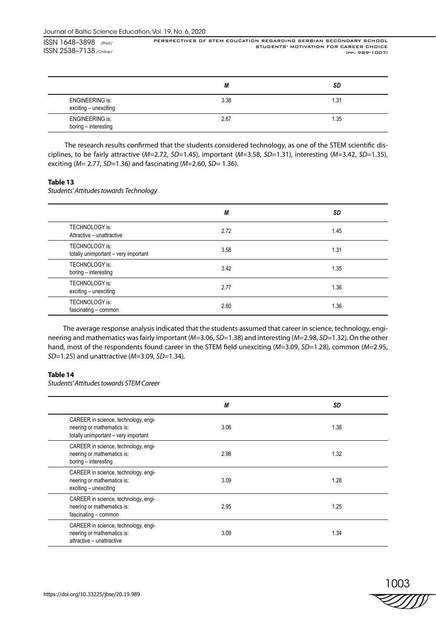PERSPECTIVES OF STEM EDUCATION REGARDING SERBIAN SECONDARY SCHOOL STUDENTS' MOTIVATION FOR CAREER CHOICE (pp. 989-1007)

|                                                 | М    | SD   |
|-------------------------------------------------|------|------|
| <b>ENGINEERING is:</b><br>exciting - unexciting | 3.38 | l.31 |
| <b>ENGINEERING is:</b><br>boring - interesting  | 2.67 | 1.35 |

 The research results confirmed that the students considered technology, as one of the STEM scientific disciplines, to be fairly attractive (*M*=2.72, *SD*=1.45), important (*M*=3.58, *SD*=1.31), interesting (*M*=3.42, *SD*=1.35), exciting (*M*= 2.77, *SD*=1.36) and fascinating (*M*=2.60, *SD*= 1.36).

## **Table 13**

*Students' Attitudes towards Technology*

|                                                        | М    | SD   |
|--------------------------------------------------------|------|------|
| <b>TECHNOLOGY is:</b><br>Attractive - unattractive     | 2.72 | 1.45 |
| TECHNOLOGY is:<br>totally unimportant - very important | 3.58 | 1.31 |
| TECHNOLOGY is:<br>boring - interesting                 | 3.42 | 1.35 |
| TECHNOLOGY is:<br>exciting - unexciting                | 2.77 | 1.36 |
| TECHNOLOGY is:<br>fascinating - common                 | 2.60 | 1.36 |

The average response analysis indicated that the students assumed that career in science, technology, engineering and mathematics was fairly important (*M*=3.06, *SD*=1.38) and interesting (*M*=2.98, *SD*=1.32). On the other hand, most of the respondents found career in the STEM field unexciting (*M*=3.09, *SD*=1.28), common (*M*=2.95, *SD*=1.25) and unattractive (*M*=3.09, *SD*=1.34).

## **Table 14**

*Students' Attitudes towards STEM Career*

|                                                                                                            | М    | SD   |
|------------------------------------------------------------------------------------------------------------|------|------|
| CAREER in science, technology, engi-<br>neering or mathematics is:<br>totally unimportant - very important | 3.06 | 1.38 |
| CAREER in science, technology, engi-<br>neering or mathematics is:<br>boring - interesting                 | 2.98 | 1.32 |
| CAREER in science, technology, engi-<br>neering or mathematics is:<br>exciting - unexciting                | 3.09 | 1.28 |
| CAREER in science, technology, engi-<br>neering or mathematics is:<br>fascinating - common                 | 2.95 | 1.25 |
| CAREER in science, technology, engi-<br>neering or mathematics is:<br>attractive - unattractive            | 3.09 | 1.34 |

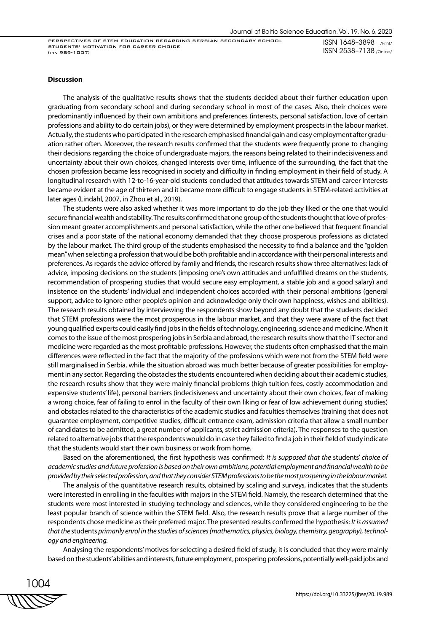ISSN 1648–3898 /Print/ ISSN 2538–7138 /Online/

#### **Discussion**

The analysis of the qualitative results shows that the students decided about their further education upon graduating from secondary school and during secondary school in most of the cases. Also, their choices were predominantly influenced by their own ambitions and preferences (interests, personal satisfaction, love of certain professions and ability to do certain jobs), or they were determined by employment prospects in the labour market. Actually, the students who participated in the research emphasised financial gain and easy employment after graduation rather often. Moreover, the research results confirmed that the students were frequently prone to changing their decisions regarding the choice of undergraduate majors, the reasons being related to their indecisiveness and uncertainty about their own choices, changed interests over time, influence of the surrounding, the fact that the chosen profession became less recognised in society and difficulty in finding employment in their field of study. A longitudinal research with 12-to-16-year-old students concluded that attitudes towards STEM and career interests became evident at the age of thirteen and it became more difficult to engage students in STEM-related activities at later ages (Lindahl, 2007, in Zhou et al., 2019).

The students were also asked whether it was more important to do the job they liked or the one that would secure financial wealth and stability. The results confirmed that one group of the students thought that love of profession meant greater accomplishments and personal satisfaction, while the other one believed that frequent financial crises and a poor state of the national economy demanded that they choose prosperous professions as dictated by the labour market. The third group of the students emphasised the necessity to find a balance and the "golden mean" when selecting a profession that would be both profitable and in accordance with their personal interests and preferences. As regards the advice offered by family and friends, the research results show three alternatives: lack of advice, imposing decisions on the students (imposing one's own attitudes and unfulfilled dreams on the students, recommendation of prospering studies that would secure easy employment, a stable job and a good salary) and insistence on the students' individual and independent choices accorded with their personal ambitions (general support, advice to ignore other people's opinion and acknowledge only their own happiness, wishes and abilities). The research results obtained by interviewing the respondents show beyond any doubt that the students decided that STEM professions were the most prosperous in the labour market, and that they were aware of the fact that young qualified experts could easily find jobs in the fields of technology, engineering, science and medicine. When it comes to the issue of the most prospering jobs in Serbia and abroad, the research results show that the IT sector and medicine were regarded as the most profitable professions. However, the students often emphasised that the main differences were reflected in the fact that the majority of the professions which were not from the STEM field were still marginalised in Serbia, while the situation abroad was much better because of greater possibilities for employment in any sector. Regarding the obstacles the students encountered when deciding about their academic studies, the research results show that they were mainly financial problems (high tuition fees, costly accommodation and expensive students' life), personal barriers (indecisiveness and uncertainty about their own choices, fear of making a wrong choice, fear of failing to enrol in the faculty of their own liking or fear of low achievement during studies) and obstacles related to the characteristics of the academic studies and faculties themselves (training that does not guarantee employment, competitive studies, difficult entrance exam, admission criteria that allow a small number of candidates to be admitted, a great number of applicants, strict admission criteria). The responses to the question related to alternative jobs that the respondents would do in case they failed to find a job in their field of study indicate that the students would start their own business or work from home.

Based on the aforementioned, the first hypothesis was confirmed: *It is supposed that the* students' *choice of academic studies and future profession is based on their own ambitions, potential employment and financial wealth to be provided by their selected profession, and that they consider STEM professions to be the most prospering in the labour market.*

The analysis of the quantitative research results, obtained by scaling and surveys, indicates that the students were interested in enrolling in the faculties with majors in the STEM field. Namely, the research determined that the students were most interested in studying technology and sciences, while they considered engineering to be the least popular branch of science within the STEM field. Also, the research results prove that a large number of the respondents chose medicine as their preferred major. The presented results confirmed the hypothesis: *It is assumed that the* students *primarily enrol in the studies of sciences (mathematics, physics, biology, chemistry, geography), technology and engineering.*

Analysing the respondents' motives for selecting a desired field of study, it is concluded that they were mainly based on the students' abilities and interests, future employment, prospering professions, potentially well-paid jobs and

1004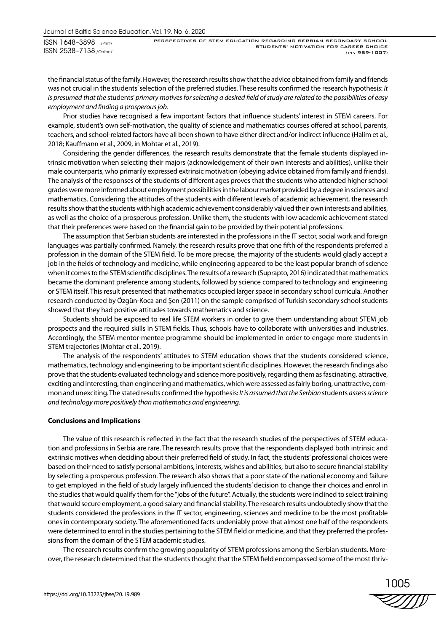PERSPECTIVES OF STEM EDUCATION REGARDING SERBIAN SECONDARY SCHOOL STUDENTS' MOTIVATION FOR CAREER CHOICE (pp. 989-1007)

the financial status of the family. However, the research results show that the advice obtained from family and friends was not crucial in the students' selection of the preferred studies. These results confirmed the research hypothesis: *It is presumed that the* students' *primary motives for selecting a desired field of study are related to the possibilities of easy employment and finding a prosperous job.*

Prior studies have recognised a few important factors that influence students' interest in STEM careers. For example, student's own self-motivation, the quality of science and mathematics courses offered at school, parents, teachers, and school-related factors have all been shown to have either direct and/or indirect influence (Halim et al., 2018; Kauffmann et al., 2009, in Mohtar et al., 2019).

Considering the gender differences, the research results demonstrate that the female students displayed intrinsic motivation when selecting their majors (acknowledgement of their own interests and abilities), unlike their male counterparts, who primarily expressed extrinsic motivation (obeying advice obtained from family and friends). The analysis of the responses of the students of different ages proves that the students who attended higher school grades were more informed about employment possibilities in the labour market provided by a degree in sciences and mathematics. Considering the attitudes of the students with different levels of academic achievement, the research results show that the students with high academic achievement considerably valued their own interests and abilities, as well as the choice of a prosperous profession. Unlike them, the students with low academic achievement stated that their preferences were based on the financial gain to be provided by their potential professions.

The assumption that Serbian students are interested in the professions in the IT sector, social work and foreign languages was partially confirmed. Namely, the research results prove that one fifth of the respondents preferred a profession in the domain of the STEM field. To be more precise, the majority of the students would gladly accept a job in the fields of technology and medicine, while engineering appeared to be the least popular branch of science when it comes to the STEM scientific disciplines. The results of a research (Suprapto, 2016) indicated that mathematics became the dominant preference among students, followed by science compared to technology and engineering or STEM itself. This result presented that mathematics occupied larger space in secondary school curricula. Another research conducted by Özgün-Koca and Şen (2011) on the sample comprised of Turkish secondary school students showed that they had positive attitudes towards mathematics and science.

Students should be exposed to real life STEM workers in order to give them understanding about STEM job prospects and the required skills in STEM fields. Thus, schools have to collaborate with universities and industries. Accordingly, the STEM mentor-mentee programme should be implemented in order to engage more students in STEM trajectories (Mohtar et al., 2019).

The analysis of the respondents' attitudes to STEM education shows that the students considered science, mathematics, technology and engineering to be important scientific disciplines. However, the research findings also prove that the students evaluated technology and science more positively, regarding them as fascinating, attractive, exciting and interesting, than engineering and mathematics, which were assessed as fairly boring, unattractive, common and unexciting. The stated results confirmed the hypothesis: *It is assumed that the Serbian* students *assess science and technology more positively than mathematics and engineering.*

## **Conclusions and Implications**

The value of this research is reflected in the fact that the research studies of the perspectives of STEM education and professions in Serbia are rare. The research results prove that the respondents displayed both intrinsic and extrinsic motives when deciding about their preferred field of study. In fact, the students' professional choices were based on their need to satisfy personal ambitions, interests, wishes and abilities, but also to secure financial stability by selecting a prosperous profession. The research also shows that a poor state of the national economy and failure to get employed in the field of study largely influenced the students' decision to change their choices and enrol in the studies that would qualify them for the "jobs of the future". Actually, the students were inclined to select training that would secure employment, a good salary and financial stability. The research results undoubtedly show that the students considered the professions in the IT sector, engineering, sciences and medicine to be the most profitable ones in contemporary society. The aforementioned facts undeniably prove that almost one half of the respondents were determined to enrol in the studies pertaining to the STEM field or medicine, and that they preferred the professions from the domain of the STEM academic studies.

The research results confirm the growing popularity of STEM professions among the Serbian students. Moreover, the research determined that the students thought that the STEM field encompassed some of the most thriv-

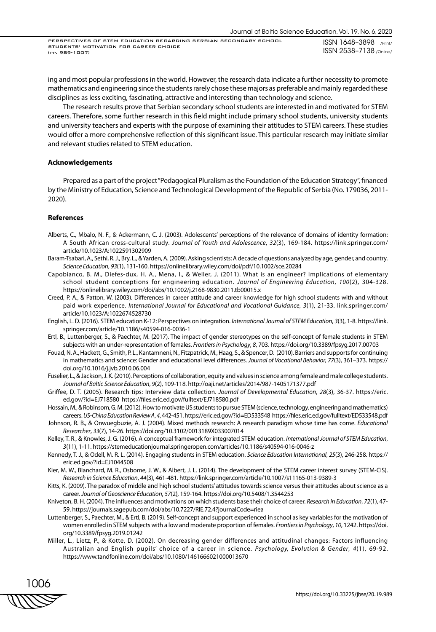ing and most popular professions in the world. However, the research data indicate a further necessity to promote mathematics and engineering since the students rarely chose these majors as preferable and mainly regarded these disciplines as less exciting, fascinating, attractive and interesting than technology and science.

The research results prove that Serbian secondary school students are interested in and motivated for STEM careers. Therefore, some further research in this field might include primary school students, university students and university teachers and experts with the purpose of examining their attitudes to STEM careers. These studies would offer a more comprehensive reflection of this significant issue. This particular research may initiate similar and relevant studies related to STEM education.

### **Acknowledgements**

Prepared as a part of the project "Pedagogical Pluralism as the Foundation of the Education Strategy", financed by the Ministry of Education, Science and Technological Development of the Republic of Serbia (No. 179036, 2011- 2020).

#### **References**

- Alberts, C., Mbalo, N. F., & Ackermann, C. J. (2003). Adolescents' perceptions of the relevance of domains of identity formation: A South African cross-cultural study. *Journal of Youth and Adolescence*, *32*(3), 169-184. https://link.springer.com/ article/10.1023/A:1022591302909
- Baram-Tsabari, A., Sethi, R. J., Bry, L., & Yarden, A. (2009). Asking scientists: A decade of questions analyzed by age, gender, and country. *Science Education*, *93*(1), 131-160. https://onlinelibrary.wiley.com/doi/pdf/10.1002/sce.20284
- Capobianco, B. M., Diefes-dux, H. A., Mena, I., & Weller, J. (2011). What is an engineer? Implications of elementary school student conceptions for engineering education. *Journal of Engineering Education*, *100*(2), 304-328. https://onlinelibrary.wiley.com/doi/abs/10.1002/j.2168-9830.2011.tb00015.x
- Creed, P. A., & Patton, W. (2003). Differences in career attitude and career knowledge for high school students with and without paid work experience. *International Journal for Educational and Vocational Guidance*, *3*(1), 21-33. link.springer.com/ article/10.1023/A:1022674528730
- English, L. D. (2016). STEM education K-12: Perspectives on integration. *International Journal of STEM Education*, *3*(3), 1-8. https://link. springer.com/article/10.1186/s40594-016-0036-1
- Ertl, B., Luttenberger, S., & Paechter, M. (2017). The impact of gender stereotypes on the self-concept of female students in STEM subjects with an under-representation of females. *Frontiers in Psychology*, *8*, 703. https://doi.org/10.3389/fpsyg.2017.00703
- Fouad, N. A., Hackett, G., Smith, P. L., Kantamneni, N., Fitzpatrick, M., Haag, S., & Spencer, D. (2010). Barriers and supports for continuing in mathematics and science: Gender and educational level differences. *Journal of Vocational Behavior, 77*(3), 361–373. https:// doi.org/10.1016/j.jvb.2010.06.004
- Fuselier, L., & Jackson, J. K. (2010). Perceptions of collaboration, equity and values in science among female and male college students. *Journal of Baltic Science Education*, *9*(2), 109-118. http://oaji.net/articles/2014/987-1405171377.pdf
- Griffee, D. T. (2005). Research tips: Interview data collection. *Journal of Developmental Education*, *28*(3), 36-37. https://eric. ed.gov/?id=EJ718580 https://files.eric.ed.gov/fulltext/EJ718580.pdf
- Hossain, M., & Robinsom, G. M. (2012). How to motivate US students to pursue STEM (science, technology, engineering and mathematics) careers. *US-China Education Review A*, *4*, 442-451. https://eric.ed.gov/?id=ED533548 https://files.eric.ed.gov/fulltext/ED533548.pdf
- Johnson, R. B., & Onwuegbuzie, A. J. (2004). Mixed methods research: A research paradigm whose time has come. *Educational Researcher*, *33*(7), 14-26. https://doi.org/10.3102/0013189X033007014
- Kelley, T. R., & Knowles, J. G. (2016). A conceptual framework for integrated STEM education. *International Journal of STEM Education*, *3*(11), 1-11. https://stemeducationjournal.springeropen.com/articles/10.1186/s40594-016-0046-z
- Kennedy, T. J., & Odell, M. R. L. (2014). Engaging students in STEM education. *Science Education International*, *25*(3), 246-258. https:// eric.ed.gov/?id=EJ1044508
- Kier, M. W., Blanchard, M. R., Osborne, J. W., & Albert, J. L. (2014). The development of the STEM career interest survey (STEM-CIS). *Research in Science Education*, *44*(3), 461-481. https://link.springer.com/article/10.1007/s11165-013-9389-3
- Kitts, K. (2009). The paradox of middle and high school students' attitudes towards science versus their attitudes about science as a career. *Journal of Geoscience Education*, *57*(2), 159-164. https://doi.org/10.5408/1.3544253
- Kniveton, B. H. (2004). The influences and motivations on which students base their choice of career. *Research in Education*, *72*(1), 47- 59. https://journals.sagepub.com/doi/abs/10.7227/RIE.72.4?journalCode=riea
- Luttenberger, S., Paechter, M., & Ertl, B. (2019). Self-concept and support experienced in school as key variables for the motivation of women enrolled in STEM subjects with a low and moderate proportion of females. *Frontiers in Psychology*, *10*, 1242. https://doi. org/10.3389/fpsyg.2019.01242
- Miller, L., Lietz, P., & Kotte, D. (2002). On decreasing gender differences and attitudinal changes: Factors influencing Australian and English pupils' choice of a career in science. *Psychology, Evolution & Gender*, *4*(1), 69-92. https://www.tandfonline.com/doi/abs/10.1080/1461666021000013670

1006